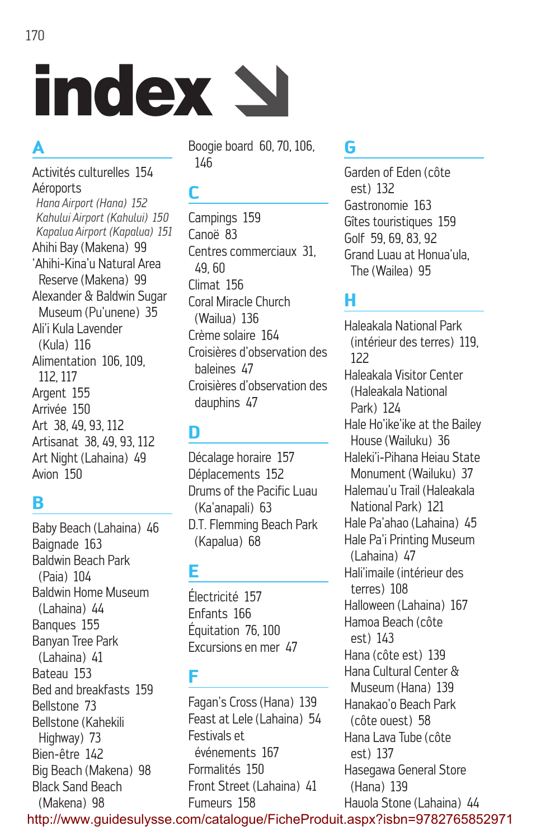# index

# **A**

#### Activités culturelles 154 Aéroports

*Hana Airport (Hana) 152 Kahului Airport (Kahului) 150 Kapalua Airport (Kapalua) 151* Ahihi Bay (Makena) 99 'Ahihi-Kina'u Natural Area Reserve (Makena) 99 Alexander & Baldwin Sugar Museum (Pu'unene) 35 Ali'i Kula Lavender (Kula) 116 Alimentation 106, 109, 112, 117 Argent 155 Arrivée 150 Art 38, 49, 93, 112 Artisanat 38, 49, 93, 112 Art Night (Lahaina) 49 Avion 150

## **B**

Baby Beach (Lahaina) 46 Baignade 163 Baldwin Beach Park (Paia) 104 Baldwin Home Museum (Lahaina) 44 Banques 155 Banyan Tree Park (Lahaina) 41 Bateau 153 Bed and breakfasts 159 Bellstone 73 Bellstone (Kahekili Highway) 73 Bien-être 142 Big Beach (Makena) 98 Black Sand Beach (Makena) 98

Boogie board 60, 70, 106, 146

## **C**

Campings 159 Canoë 83 Centres commerciaux 31, 49, 60 Climat 156 Coral Miracle Church (Wailua) 136 Crème solaire 164 Croisières d'observation des baleines 47 Croisières d'observation des dauphins 47

## **D**

Décalage horaire 157 Déplacements 152 Drums of the Pacific Luau (Ka'anapali) 63 D.T. Flemming Beach Park (Kapalua) 68

## **E**

Électricité 157 Enfants 166 Équitation 76, 100 Excursions en mer 47

## **F**

Fagan's Cross (Hana) 139 Feast at Lele (Lahaina) 54 Festivals et événements 167 Formalités 150 Front Street (Lahaina) 41 Fumeurs 158

#### **G**

Garden of Eden (côte est) 132 Gastronomie 163 Gîtes touristiques 159 Golf 59, 69, 83, 92 Grand Luau at Honua'ula, The (Wailea) 95

## **H**

Haleakala National Park (intérieur des terres) 119, 122 Haleakala Visitor Center (Haleakala National Park) 124 Hale Ho'ike'ike at the Bailey House (Wailuku) 36 Haleki'i-Pihana Heiau State Monument (Wailuku) 37 Halemau'u Trail (Haleakala National Park) 121 Hale Pa'ahao (Lahaina) 45 Hale Pa'i Printing Museum (Lahaina) 47 Hali'imaile (intérieur des terres) 108 Halloween (Lahaina) 167 Hamoa Beach (côte est) 143 Hana (côte est) 139 Hana Cultural Center & Museum (Hana) 139 Hanakao'o Beach Park (côte ouest) 58 Hana Lava Tube (côte est) 137 Hasegawa General Store (Hana) 139 Hauola Stone (Lahaina) 44

http://www.guidesulysse.com/catalogue/FicheProduit.aspx?isbn=9782765852971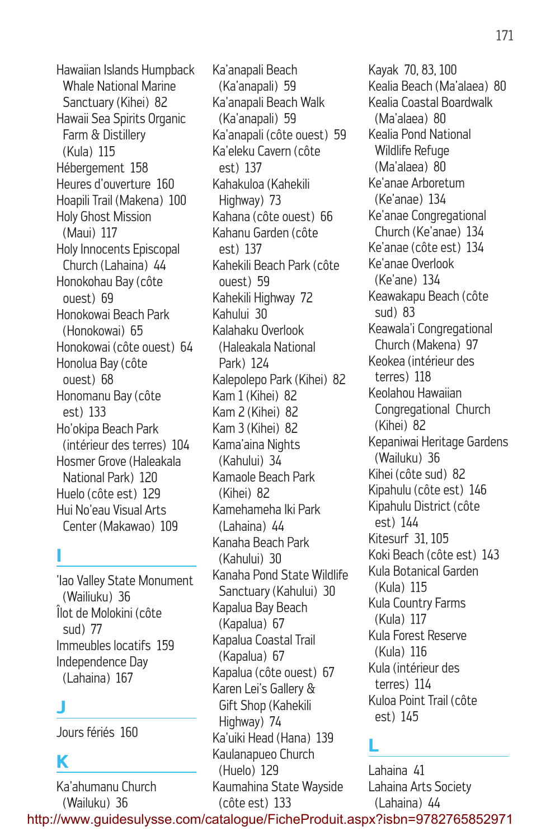Hawaiian Islands Humpback Whale National Marine Sanctuary (Kihei) 82 Hawaii Sea Spirits Organic Farm & Distillery (Kula) 115 Hébergement 158 Heures d'ouverture 160 Hoapili Trail (Makena) 100 Holy Ghost Mission (Maui) 117 Holy Innocents Episcopal Church (Lahaina) 44 Honokohau Bay (côte ouest) 69 Honokowai Beach Park (Honokowai) 65 Honokowai (côte ouest) 64 Honolua Bay (côte ouest) 68 Honomanu Bay (côte est) 133 Ho'okipa Beach Park (intérieur des terres) 104 Hosmer Grove (Haleakala National Park) 120 Huelo (côte est) 129 Hui No'eau Visual Arts Center (Makawao) 109

#### **I**

'Iao Valley State Monument (Wailiuku) 36 Îlot de Molokini (côte sud) 77 Immeubles locatifs 159 Independence Day (Lahaina) 167

#### **J**

Jours fériés 160

#### **K**

Ka'ahumanu Church (Wailuku) 36

Ka'anapali Beach (Ka'anapali) 59 Ka'anapali Beach Walk (Ka'anapali) 59 Ka'anapali (côte ouest) 59 Ka'eleku Cavern (côte est) 137 Kahakuloa (Kahekili Highway) 73 Kahana (côte ouest) 66 Kahanu Garden (côte est) 137 Kahekili Beach Park (côte ouest) 59 Kahekili Highway 72 Kahului 30 Kalahaku Overlook (Haleakala National Park) 124 Kalepolepo Park (Kihei) 82 Kam 1 (Kihei) 82 Kam 2 (Kihei) 82 Kam 3 (Kihei) 82 Kama'aina Nights (Kahului) 34 Kamaole Beach Park (Kihei) 82 Kamehameha Iki Park (Lahaina) 44 Kanaha Beach Park (Kahului) 30 Kanaha Pond State Wildlife Sanctuary (Kahului) 30 Kapalua Bay Beach (Kapalua) 67 Kapalua Coastal Trail (Kapalua) 67 Kapalua (côte ouest) 67 Karen Lei's Gallery & Gift Shop (Kahekili Highway) 74 Ka'uiki Head (Hana) 139 Kaulanapueo Church (Huelo) 129 Kaumahina State Wayside (côte est) 133

Kayak 70, 83, 100 Kealia Beach (Ma'alaea) 80 Kealia Coastal Boardwalk (Ma'alaea) 80 Kealia Pond National Wildlife Refuge (Ma'alaea) 80 Ke'anae Arboretum (Ke'anae) 134 Ke'anae Congregational Church (Ke'anae) 134 Ke'anae (côte est) 134 Ke'anae Overlook (Ke'ane) 134 Keawakapu Beach (côte sud) 83 Keawala'i Congregational Church (Makena) 97 Keokea (intérieur des terres) 118 Keolahou Hawaiian Congregational Church (Kihei) 82 Kepaniwai Heritage Gardens (Wailuku) 36 Kihei (côte sud) 82 Kipahulu (côte est) 146 Kipahulu District (côte est) 144 Kitesurf 31, 105 Koki Beach (côte est) 143 Kula Botanical Garden (Kula) 115 Kula Country Farms (Kula) 117 Kula Forest Reserve (Kula) 116 Kula (intérieur des terres) 114 Kuloa Point Trail (côte est) 145

#### **L**

Lahaina 41 Lahaina Arts Society (Lahaina) 44 http://www.guidesulysse.com/catalogue/FicheProduit.aspx?isbn=9782765852971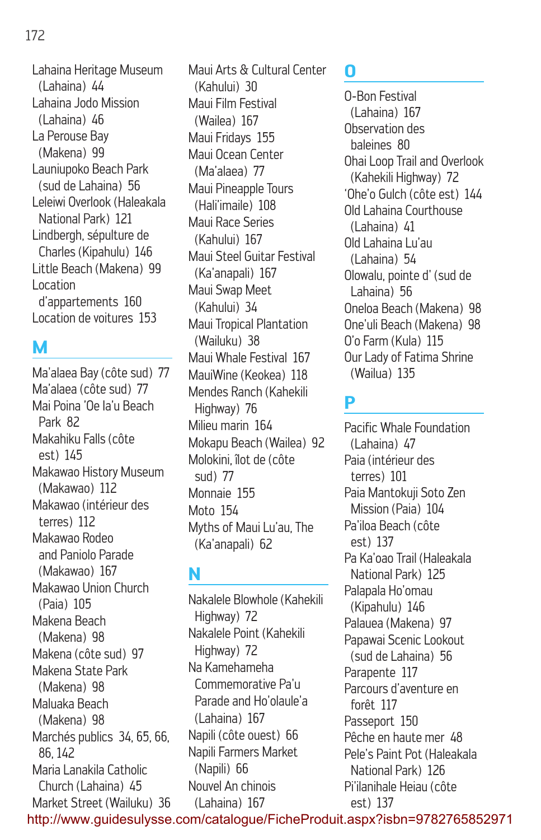#### 172

Lahaina Heritage Museum (Lahaina) 44 Lahaina Jodo Mission (Lahaina) 46 La Perouse Bay (Makena) 99 Launiupoko Beach Park (sud de Lahaina) 56 Leleiwi Overlook (Haleakala National Park) 121 Lindbergh, sépulture de Charles (Kipahulu) 146 Little Beach (Makena) 99 Location d'appartements 160 Location de voitures 153

## **M**

Ma'alaea Bay (côte sud) 77 Ma'alaea (côte sud) 77 Mai Poina 'Oe Ia'u Beach Park 82 Makahiku Falls (côte est) 145 Makawao History Museum (Makawao) 112 Makawao (intérieur des terres) 112 Makawao Rodeo and Paniolo Parade (Makawao) 167 Makawao Union Church (Paia) 105 Makena Beach (Makena) 98 Makena (côte sud) 97 Makena State Park (Makena) 98 Maluaka Beach (Makena) 98 Marchés publics 34, 65, 66, 86, 142 Maria Lanakila Catholic Church (Lahaina) 45 Market Street (Wailuku) 36

Maui Arts & Cultural Center (Kahului) 30 Maui Film Festival (Wailea) 167 Maui Fridays 155 Maui Ocean Center (Ma'alaea) 77 Maui Pineapple Tours (Hali'imaile) 108 Maui Race Series (Kahului) 167 Maui Steel Guitar Festival (Ka'anapali) 167 Maui Swap Meet (Kahului) 34 Maui Tropical Plantation (Wailuku) 38 Maui Whale Festival 167 MauiWine (Keokea) 118 Mendes Ranch (Kahekili Highway) 76 Milieu marin 164 Mokapu Beach (Wailea) 92 Molokini, îlot de (côte sud) 77 Monnaie 155 Moto 154 Myths of Maui Lu'au, The (Ka'anapali) 62

## **N**

Nakalele Blowhole (Kahekili Highway) 72 Nakalele Point (Kahekili Highway) 72 Na Kamehameha Commemorative Pa'u Parade and Ho'olaule'a (Lahaina) 167 Napili (côte ouest) 66 Napili Farmers Market (Napili) 66 Nouvel An chinois (Lahaina) 167

#### **O**

O-Bon Festival (Lahaina) 167 Observation des baleines 80 Ohai Loop Trail and Overlook (Kahekili Highway) 72 'Ohe'o Gulch (côte est) 144 Old Lahaina Courthouse (Lahaina) 41 Old Lahaina Lu'au (Lahaina) 54 Olowalu, pointe d' (sud de Lahaina) 56 Oneloa Beach (Makena) 98 One'uli Beach (Makena) 98 O'o Farm (Kula) 115 Our Lady of Fatima Shrine (Wailua) 135

#### **P**

Pacific Whale Foundation (Lahaina) 47 Paia (intérieur des terres) 101 Paia Mantokuji Soto Zen Mission (Paia) 104 Pa'iloa Beach (côte est) 137 Pa Ka'oao Trail (Haleakala National Park) 125 Palapala Ho'omau (Kipahulu) 146 Palauea (Makena) 97 Papawai Scenic Lookout (sud de Lahaina) 56 Parapente 117 Parcours d'aventure en forêt 117 Passeport 150 Pêche en haute mer 48 Pele's Paint Pot (Haleakala National Park) 126 Pi'ilanihale Heiau (côte est) 137

http://www.guidesulysse.com/catalogue/FicheProduit.aspx?isbn=9782765852971